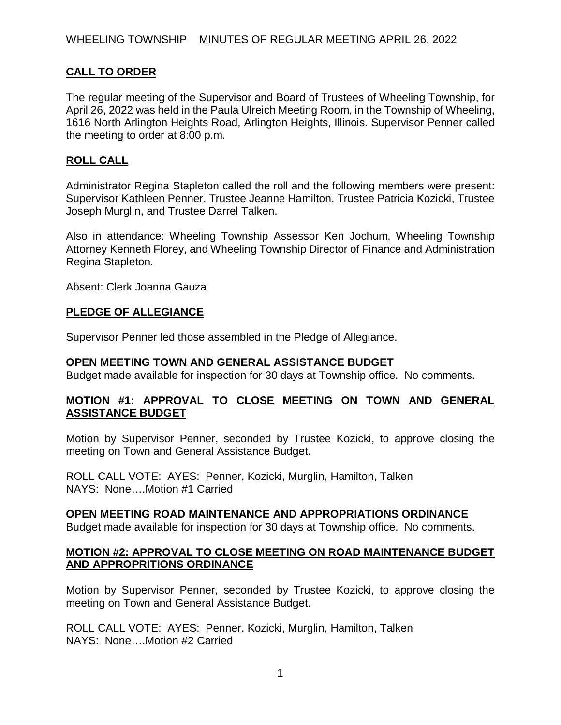# **CALL TO ORDER**

The regular meeting of the Supervisor and Board of Trustees of Wheeling Township, for April 26, 2022 was held in the Paula Ulreich Meeting Room, in the Township of Wheeling, 1616 North Arlington Heights Road, Arlington Heights, Illinois. Supervisor Penner called the meeting to order at 8:00 p.m.

## **ROLL CALL**

Administrator Regina Stapleton called the roll and the following members were present: Supervisor Kathleen Penner, Trustee Jeanne Hamilton, Trustee Patricia Kozicki, Trustee Joseph Murglin, and Trustee Darrel Talken.

Also in attendance: Wheeling Township Assessor Ken Jochum, Wheeling Township Attorney Kenneth Florey, and Wheeling Township Director of Finance and Administration Regina Stapleton.

Absent: Clerk Joanna Gauza

## **PLEDGE OF ALLEGIANCE**

Supervisor Penner led those assembled in the Pledge of Allegiance.

#### **OPEN MEETING TOWN AND GENERAL ASSISTANCE BUDGET**

Budget made available for inspection for 30 days at Township office. No comments.

## **MOTION #1: APPROVAL TO CLOSE MEETING ON TOWN AND GENERAL ASSISTANCE BUDGET**

Motion by Supervisor Penner, seconded by Trustee Kozicki, to approve closing the meeting on Town and General Assistance Budget.

ROLL CALL VOTE: AYES: Penner, Kozicki, Murglin, Hamilton, Talken NAYS: None….Motion #1 Carried

#### **OPEN MEETING ROAD MAINTENANCE AND APPROPRIATIONS ORDINANCE**

Budget made available for inspection for 30 days at Township office. No comments.

## **MOTION #2: APPROVAL TO CLOSE MEETING ON ROAD MAINTENANCE BUDGET AND APPROPRITIONS ORDINANCE**

Motion by Supervisor Penner, seconded by Trustee Kozicki, to approve closing the meeting on Town and General Assistance Budget.

ROLL CALL VOTE: AYES: Penner, Kozicki, Murglin, Hamilton, Talken NAYS: None….Motion #2 Carried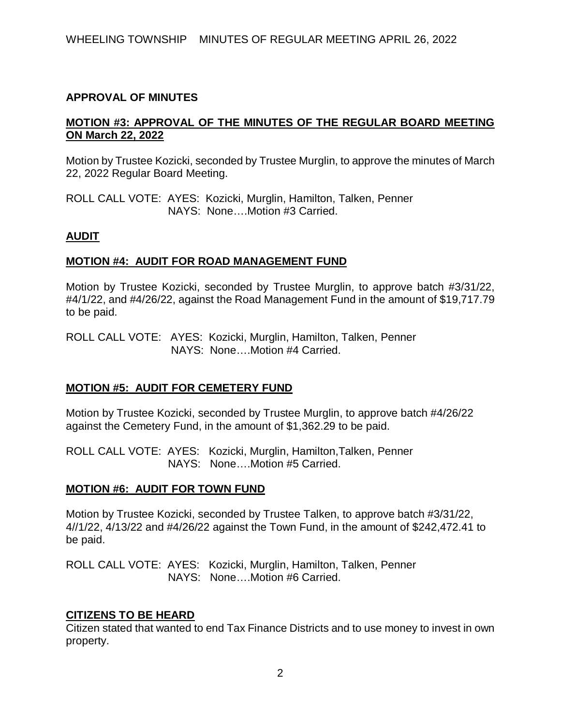## **APPROVAL OF MINUTES**

# **MOTION #3: APPROVAL OF THE MINUTES OF THE REGULAR BOARD MEETING ON March 22, 2022**

Motion by Trustee Kozicki, seconded by Trustee Murglin, to approve the minutes of March 22, 2022 Regular Board Meeting.

ROLL CALL VOTE: AYES: Kozicki, Murglin, Hamilton, Talken, Penner NAYS: None….Motion #3 Carried.

#### **AUDIT**

## **MOTION #4: AUDIT FOR ROAD MANAGEMENT FUND**

Motion by Trustee Kozicki, seconded by Trustee Murglin, to approve batch #3/31/22, #4/1/22, and #4/26/22, against the Road Management Fund in the amount of \$19,717.79 to be paid.

ROLL CALL VOTE: AYES: Kozicki, Murglin, Hamilton, Talken, Penner NAYS: None….Motion #4 Carried.

# **MOTION #5: AUDIT FOR CEMETERY FUND**

Motion by Trustee Kozicki, seconded by Trustee Murglin, to approve batch #4/26/22 against the Cemetery Fund, in the amount of \$1,362.29 to be paid.

ROLL CALL VOTE: AYES: Kozicki, Murglin, Hamilton,Talken, Penner NAYS: None….Motion #5 Carried.

#### **MOTION #6: AUDIT FOR TOWN FUND**

Motion by Trustee Kozicki, seconded by Trustee Talken, to approve batch #3/31/22, 4//1/22, 4/13/22 and #4/26/22 against the Town Fund, in the amount of \$242,472.41 to be paid.

ROLL CALL VOTE: AYES: Kozicki, Murglin, Hamilton, Talken, Penner NAYS: None….Motion #6 Carried.

#### **CITIZENS TO BE HEARD**

Citizen stated that wanted to end Tax Finance Districts and to use money to invest in own property.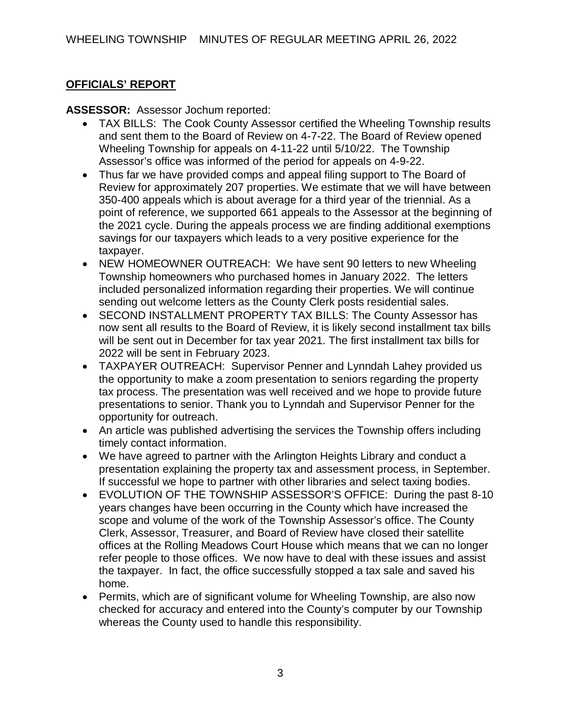# **OFFICIALS' REPORT**

**ASSESSOR:** Assessor Jochum reported:

- TAX BILLS: The Cook County Assessor certified the Wheeling Township results and sent them to the Board of Review on 4-7-22. The Board of Review opened Wheeling Township for appeals on 4-11-22 until 5/10/22. The Township Assessor's office was informed of the period for appeals on 4-9-22.
- Thus far we have provided comps and appeal filing support to The Board of Review for approximately 207 properties. We estimate that we will have between 350-400 appeals which is about average for a third year of the triennial. As a point of reference, we supported 661 appeals to the Assessor at the beginning of the 2021 cycle. During the appeals process we are finding additional exemptions savings for our taxpayers which leads to a very positive experience for the taxpayer.
- NEW HOMEOWNER OUTREACH: We have sent 90 letters to new Wheeling Township homeowners who purchased homes in January 2022. The letters included personalized information regarding their properties. We will continue sending out welcome letters as the County Clerk posts residential sales.
- SECOND INSTALLMENT PROPERTY TAX BILLS: The County Assessor has now sent all results to the Board of Review, it is likely second installment tax bills will be sent out in December for tax year 2021. The first installment tax bills for 2022 will be sent in February 2023.
- TAXPAYER OUTREACH: Supervisor Penner and Lynndah Lahey provided us the opportunity to make a zoom presentation to seniors regarding the property tax process. The presentation was well received and we hope to provide future presentations to senior. Thank you to Lynndah and Supervisor Penner for the opportunity for outreach.
- An article was published advertising the services the Township offers including timely contact information.
- We have agreed to partner with the Arlington Heights Library and conduct a presentation explaining the property tax and assessment process, in September. If successful we hope to partner with other libraries and select taxing bodies.
- EVOLUTION OF THE TOWNSHIP ASSESSOR'S OFFICE: During the past 8-10 years changes have been occurring in the County which have increased the scope and volume of the work of the Township Assessor's office. The County Clerk, Assessor, Treasurer, and Board of Review have closed their satellite offices at the Rolling Meadows Court House which means that we can no longer refer people to those offices. We now have to deal with these issues and assist the taxpayer. In fact, the office successfully stopped a tax sale and saved his home.
- Permits, which are of significant volume for Wheeling Township, are also now checked for accuracy and entered into the County's computer by our Township whereas the County used to handle this responsibility.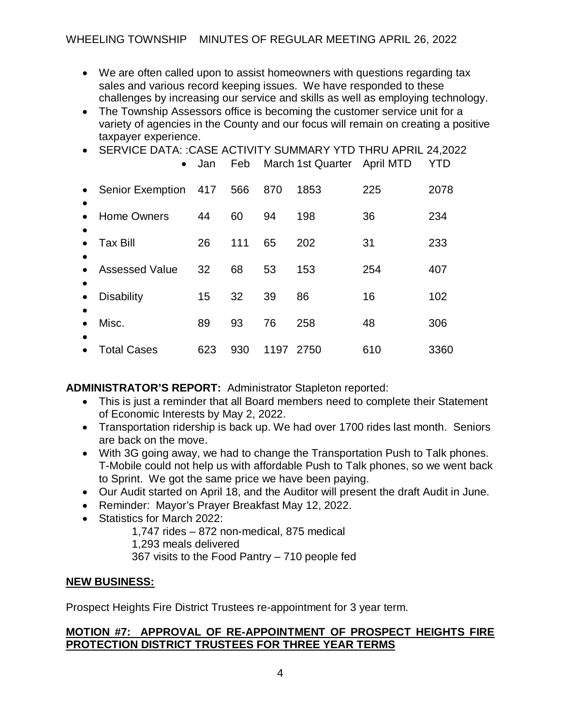- We are often called upon to assist homeowners with questions regarding tax sales and various record keeping issues. We have responded to these challenges by increasing our service and skills as well as employing technology.
- The Township Assessors office is becoming the customer service unit for a variety of agencies in the County and our focus will remain on creating a positive taxpayer experience.
- SERVICE DATA: :CASE ACTIVITY SUMMARY YTD THRU APRIL 24,2022

|           | $\bullet$               | Jan | Feb |      | March 1st Quarter April MTD |     | YTD  |
|-----------|-------------------------|-----|-----|------|-----------------------------|-----|------|
| $\bullet$ | <b>Senior Exemption</b> | 417 | 566 | 870  | 1853                        | 225 | 2078 |
|           | <b>Home Owners</b>      | 44  | 60  | 94   | 198                         | 36  | 234  |
|           | Tax Bill                | 26  | 111 | 65   | 202                         | 31  | 233  |
|           | <b>Assessed Value</b>   | 32  | 68  | 53   | 153                         | 254 | 407  |
| $\bullet$ | <b>Disability</b>       | 15  | 32  | 39   | 86                          | 16  | 102  |
|           | Misc.                   | 89  | 93  | 76   | 258                         | 48  | 306  |
|           | Total Cases             | 623 | 930 | 1197 | 2750                        | 610 | 3360 |

**ADMINISTRATOR'S REPORT:** Administrator Stapleton reported:

- This is just a reminder that all Board members need to complete their Statement of Economic Interests by May 2, 2022.
- Transportation ridership is back up. We had over 1700 rides last month. Seniors are back on the move.
- With 3G going away, we had to change the Transportation Push to Talk phones. T-Mobile could not help us with affordable Push to Talk phones, so we went back to Sprint. We got the same price we have been paying.
- Our Audit started on April 18, and the Auditor will present the draft Audit in June.
- Reminder: Mayor's Prayer Breakfast May 12, 2022.
- Statistics for March 2022:

1,747 rides – 872 non-medical, 875 medical 1,293 meals delivered 367 visits to the Food Pantry – 710 people fed

# **NEW BUSINESS:**

Prospect Heights Fire District Trustees re-appointment for 3 year term.

# **MOTION #7: APPROVAL OF RE-APPOINTMENT OF PROSPECT HEIGHTS FIRE PROTECTION DISTRICT TRUSTEES FOR THREE YEAR TERMS**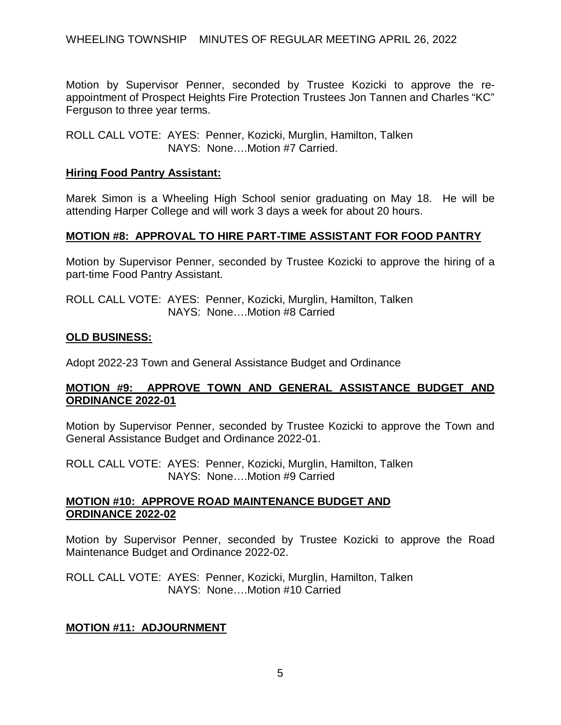Motion by Supervisor Penner, seconded by Trustee Kozicki to approve the reappointment of Prospect Heights Fire Protection Trustees Jon Tannen and Charles "KC" Ferguson to three year terms.

ROLL CALL VOTE: AYES: Penner, Kozicki, Murglin, Hamilton, Talken NAYS: None….Motion #7 Carried.

# **Hiring Food Pantry Assistant:**

Marek Simon is a Wheeling High School senior graduating on May 18. He will be attending Harper College and will work 3 days a week for about 20 hours.

# **MOTION #8: APPROVAL TO HIRE PART-TIME ASSISTANT FOR FOOD PANTRY**

Motion by Supervisor Penner, seconded by Trustee Kozicki to approve the hiring of a part-time Food Pantry Assistant.

ROLL CALL VOTE: AYES: Penner, Kozicki, Murglin, Hamilton, Talken NAYS: None….Motion #8 Carried

## **OLD BUSINESS:**

Adopt 2022-23 Town and General Assistance Budget and Ordinance

# **MOTION #9: APPROVE TOWN AND GENERAL ASSISTANCE BUDGET AND ORDINANCE 2022-01**

Motion by Supervisor Penner, seconded by Trustee Kozicki to approve the Town and General Assistance Budget and Ordinance 2022-01.

ROLL CALL VOTE: AYES: Penner, Kozicki, Murglin, Hamilton, Talken NAYS: None….Motion #9 Carried

#### **MOTION #10: APPROVE ROAD MAINTENANCE BUDGET AND ORDINANCE 2022-02**

Motion by Supervisor Penner, seconded by Trustee Kozicki to approve the Road Maintenance Budget and Ordinance 2022-02.

ROLL CALL VOTE: AYES: Penner, Kozicki, Murglin, Hamilton, Talken NAYS: None….Motion #10 Carried

# **MOTION #11: ADJOURNMENT**